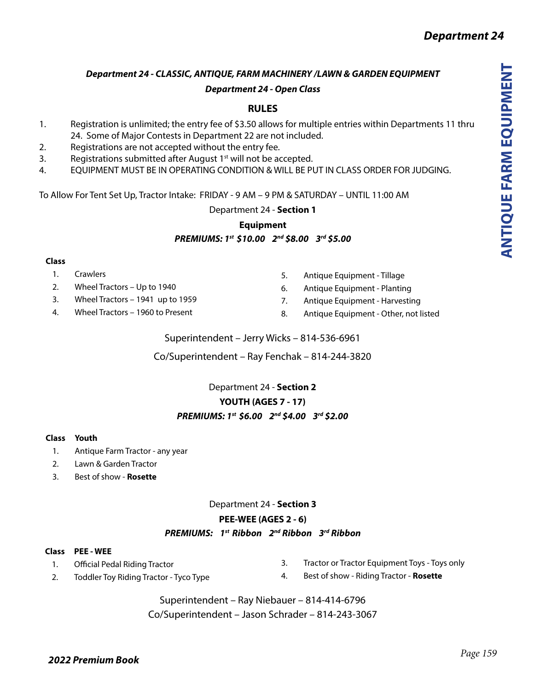# *Department 24 - CLASSIC, ANTIQUE, FARM MACHINERY /LAWN & GARDEN EQUIPMENT Department 24 - Open Class*

# **RULES**

- 1. Registration is unlimited; the entry fee of \$3.50 allows for multiple entries within Departments 11 thru 24. Some of Major Contests in Department 22 are not included.
- 2. Registrations are not accepted without the entry fee.
- 3. Registrations submitted after August  $1<sup>st</sup>$  will not be accepted.
- 4. EQUIPMENT MUST BE IN OPERATING CONDITION & WILL BE PUT IN CLASS ORDER FOR JUDGING.

To Allow For Tent Set Up, Tractor Intake: FRIDAY - 9 AM – 9 PM & SATURDAY – UNTIL 11:00 AM

Department 24 - **Section 1**

## **Equipment** *PREMIUMS: 1st \$10.00 2nd \$8.00 3rd \$5.00*

### **Class**

- 1. Crawlers
- 2. Wheel Tractors Up to 1940
- 3. Wheel Tractors 1941 up to 1959
- 4. Wheel Tractors 1960 to Present
- 5. Antique Equipment Tillage
- 6. Antique Equipment Planting
- 7. Antique Equipment Harvesting
- 8. Antique Equipment Other, not listed

Superintendent – Jerry Wicks – 814-536-6961

Co/Superintendent – Ray Fenchak – 814-244-3820

## Department 24 - **Section 2**

## **YOUTH (AGES 7 - 17)**

## *PREMIUMS: 1st \$6.00 2nd \$4.00 3rd \$2.00*

### **Class Youth**

- 1. Antique Farm Tractor any year
- 2. Lawn & Garden Tractor
- 3. Best of show **Rosette**

## Department 24 - **Section 3**

## **PEE-WEE (AGES 2 - 6)**

## *PREMIUMS: 1st Ribbon 2nd Ribbon 3rd Ribbon*

### **Class PEE - WEE**

1. Official Pedal Riding Tractor

2. Toddler Toy Riding Tractor - Tyco Type

- 3. Tractor or Tractor Equipment Toys Toys only
- 4. Best of show Riding Tractor **Rosette**
- Superintendent Ray Niebauer 814-414-6796

Co/Superintendent – Jason Schrader – 814-243-3067